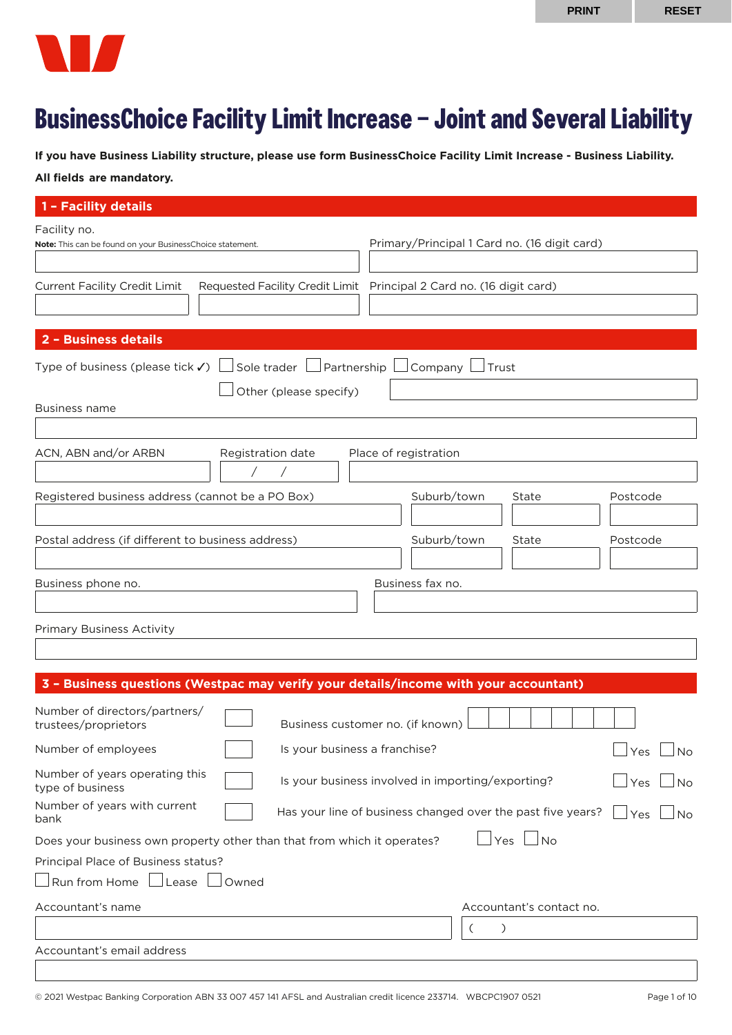

# **BusinessChoice Facility Limit Increase – Joint and Several Liability**

**If you have Business Liability structure, please use form BusinessChoice Facility Limit Increase - Business Liability.**

# **All fields are mandatory.**

| 1 - Facility details                                                                                                      |                                                                                 |  |  |  |
|---------------------------------------------------------------------------------------------------------------------------|---------------------------------------------------------------------------------|--|--|--|
| Facility no.<br>Note: This can be found on your BusinessChoice statement.                                                 | Primary/Principal 1 Card no. (16 digit card)                                    |  |  |  |
| <b>Current Facility Credit Limit</b>                                                                                      | Requested Facility Credit Limit Principal 2 Card no. (16 digit card)            |  |  |  |
| 2 - Business details                                                                                                      |                                                                                 |  |  |  |
| Type of business (please tick $\checkmark$ )<br>Sole trader $\Box$ Partnership<br>Other (please specify)<br>Business name | Company $\lfloor$<br>$\overline{\phantom{a}}$<br>∫Trust                         |  |  |  |
| ACN, ABN and/or ARBN<br>Registration date                                                                                 | Place of registration                                                           |  |  |  |
|                                                                                                                           |                                                                                 |  |  |  |
| Registered business address (cannot be a PO Box)                                                                          | Suburb/town<br>Postcode<br>State                                                |  |  |  |
| Postal address (if different to business address)                                                                         | Suburb/town<br>State<br>Postcode                                                |  |  |  |
| Business fax no.<br>Business phone no.                                                                                    |                                                                                 |  |  |  |
| <b>Primary Business Activity</b>                                                                                          |                                                                                 |  |  |  |
| 3 - Business questions (Westpac may verify your details/income with your accountant)                                      |                                                                                 |  |  |  |
| Number of directors/partners/<br>trustees/proprietors                                                                     | Business customer no. (if known)                                                |  |  |  |
| Number of employees                                                                                                       | Is your business a franchise?<br>⊿Yes ∟No                                       |  |  |  |
| Number of years operating this<br>type of business                                                                        | Is your business involved in importing/exporting?<br>Yes<br><b>No</b>           |  |  |  |
| Number of years with current<br>bank                                                                                      | Has your line of business changed over the past five years?<br>Yes<br><b>No</b> |  |  |  |
| Does your business own property other than that from which it operates?                                                   | $\mathsf{\mathsf{Yes}}$<br>No                                                   |  |  |  |
| Principal Place of Business status?                                                                                       |                                                                                 |  |  |  |
| Run from Home Lease<br>Owned                                                                                              |                                                                                 |  |  |  |
| Accountant's name                                                                                                         | Accountant's contact no.                                                        |  |  |  |
|                                                                                                                           | $\left($<br>$\mathcal{C}$                                                       |  |  |  |
| Accountant's email address                                                                                                |                                                                                 |  |  |  |
|                                                                                                                           |                                                                                 |  |  |  |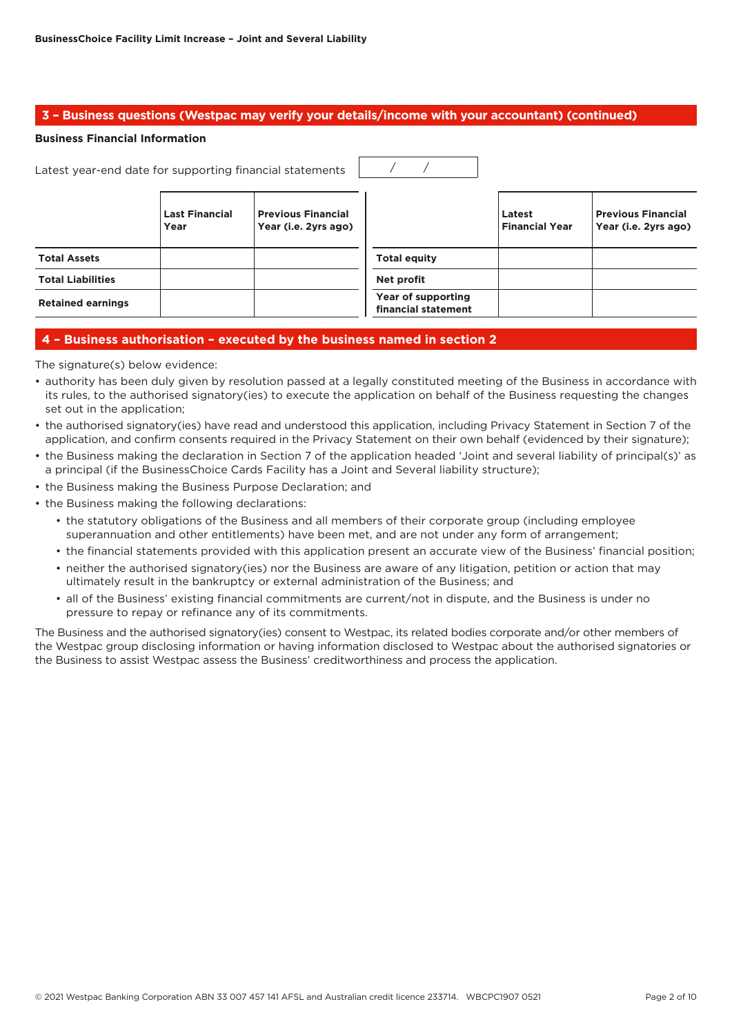## **3 – Business questions (Westpac may verify your details/income with your accountant) (continued)**

#### **Business Financial Information**

| Latest year-end date for supporting financial statements |                               |                                                   |                                           |                                 |                                                   |
|----------------------------------------------------------|-------------------------------|---------------------------------------------------|-------------------------------------------|---------------------------------|---------------------------------------------------|
|                                                          | <b>Last Financial</b><br>Year | <b>Previous Financial</b><br>Year (i.e. 2yrs ago) |                                           | Latest<br><b>Financial Year</b> | <b>Previous Financial</b><br>Year (i.e. 2yrs ago) |
| <b>Total Assets</b>                                      |                               |                                                   | <b>Total equity</b>                       |                                 |                                                   |
| <b>Total Liabilities</b>                                 |                               |                                                   | Net profit                                |                                 |                                                   |
| <b>Retained earnings</b>                                 |                               |                                                   | Year of supporting<br>financial statement |                                 |                                                   |

## **4 – Business authorisation – executed by the business named in section 2**

The signature(s) below evidence:

- authority has been duly given by resolution passed at a legally constituted meeting of the Business in accordance with its rules, to the authorised signatory(ies) to execute the application on behalf of the Business requesting the changes set out in the application;
- the authorised signatory(ies) have read and understood this application, including Privacy Statement in Section 7 of the application, and confirm consents required in the Privacy Statement on their own behalf (evidenced by their signature);
- the Business making the declaration in Section 7 of the application headed 'Joint and several liability of principal(s)' as a principal (if the BusinessChoice Cards Facility has a Joint and Several liability structure);
- the Business making the Business Purpose Declaration; and
- the Business making the following declarations:
	- the statutory obligations of the Business and all members of their corporate group (including employee superannuation and other entitlements) have been met, and are not under any form of arrangement;
	- the financial statements provided with this application present an accurate view of the Business' financial position;
	- neither the authorised signatory(ies) nor the Business are aware of any litigation, petition or action that may ultimately result in the bankruptcy or external administration of the Business; and
	- all of the Business' existing financial commitments are current/not in dispute, and the Business is under no pressure to repay or refinance any of its commitments.

The Business and the authorised signatory(ies) consent to Westpac, its related bodies corporate and/or other members of the Westpac group disclosing information or having information disclosed to Westpac about the authorised signatories or the Business to assist Westpac assess the Business' creditworthiness and process the application.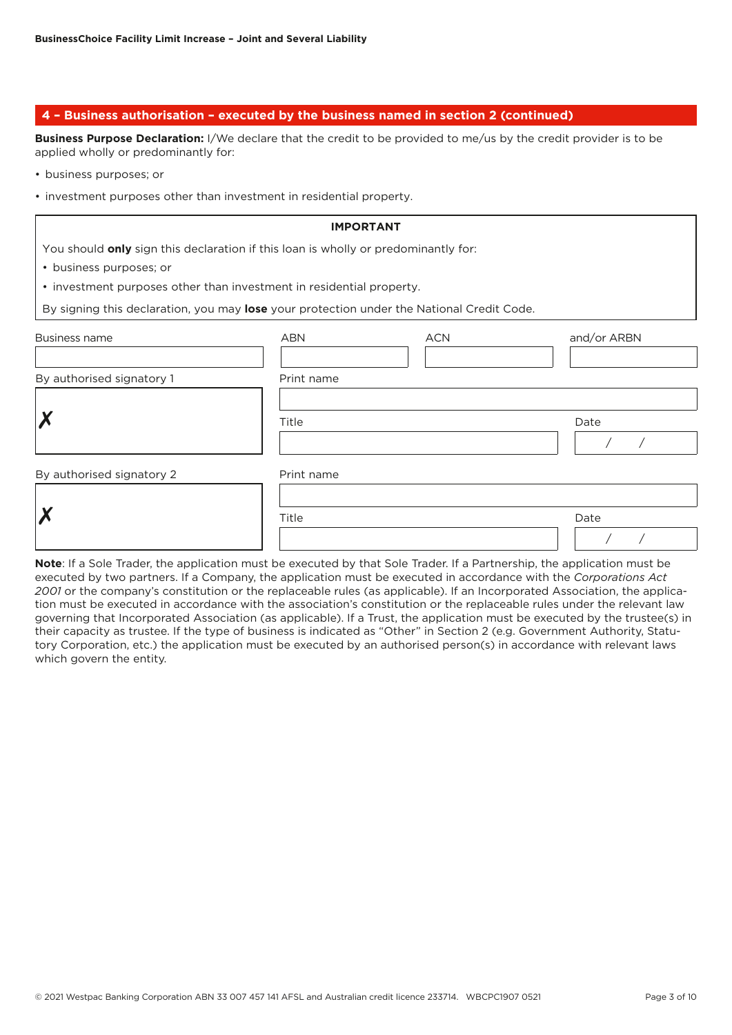## **4 – Business authorisation – executed by the business named in section 2 (continued)**

**Business Purpose Declaration:** I/We declare that the credit to be provided to me/us by the credit provider is to be applied wholly or predominantly for:

- business purposes; or
- investment purposes other than investment in residential property.

|                                                                                           | <b>IMPORTANT</b> |            |             |
|-------------------------------------------------------------------------------------------|------------------|------------|-------------|
| You should only sign this declaration if this loan is wholly or predominantly for:        |                  |            |             |
| • business purposes; or                                                                   |                  |            |             |
| • investment purposes other than investment in residential property.                      |                  |            |             |
| By signing this declaration, you may lose your protection under the National Credit Code. |                  |            |             |
| Business name                                                                             | <b>ABN</b>       | <b>ACN</b> | and/or ARBN |
| By authorised signatory 1                                                                 | Print name       |            |             |
|                                                                                           | Title            |            | Date        |
| By authorised signatory 2                                                                 | Print name       |            |             |
|                                                                                           | Title            |            | Date        |

**Note**: If a Sole Trader, the application must be executed by that Sole Trader. If a Partnership, the application must be executed by two partners. If a Company, the application must be executed in accordance with the *Corporations Act 2001* or the company's constitution or the replaceable rules (as applicable). If an Incorporated Association, the application must be executed in accordance with the association's constitution or the replaceable rules under the relevant law governing that Incorporated Association (as applicable). If a Trust, the application must be executed by the trustee(s) in their capacity as trustee. If the type of business is indicated as "Other" in Section 2 (e.g. Government Authority, Statutory Corporation, etc.) the application must be executed by an authorised person(s) in accordance with relevant laws which govern the entity.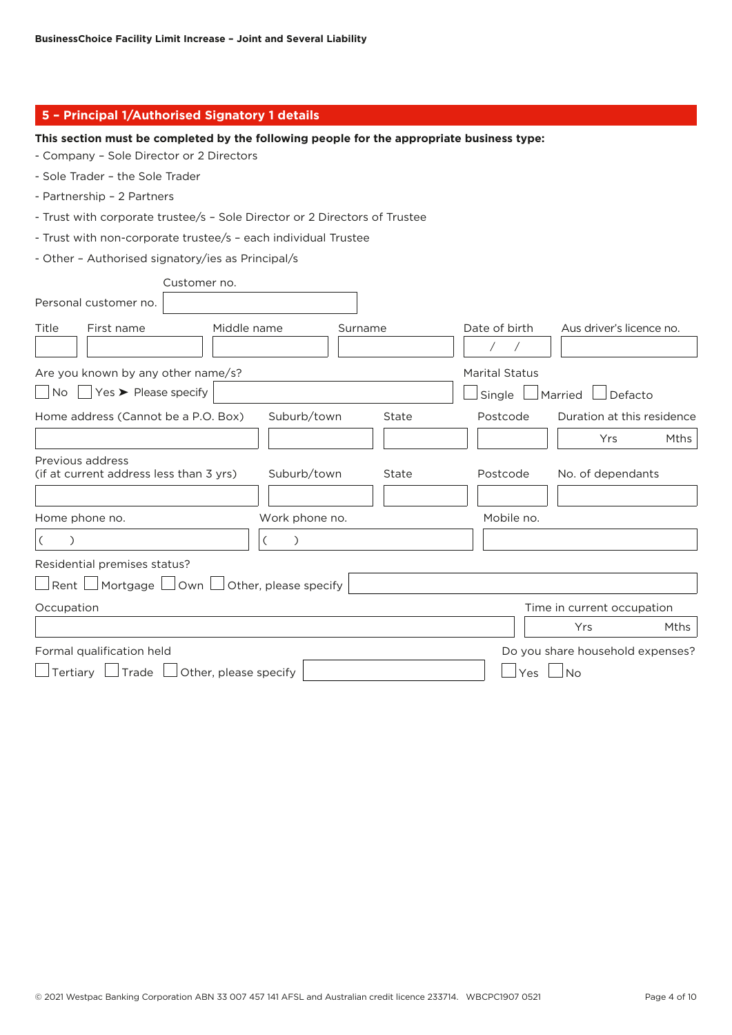| 5 - Principal 1/Authorised Signatory 1 details                                            |                                           |
|-------------------------------------------------------------------------------------------|-------------------------------------------|
| This section must be completed by the following people for the appropriate business type: |                                           |
| - Company - Sole Director or 2 Directors                                                  |                                           |
| - Sole Trader - the Sole Trader                                                           |                                           |
| - Partnership - 2 Partners                                                                |                                           |
| - Trust with corporate trustee/s - Sole Director or 2 Directors of Trustee                |                                           |
| - Trust with non-corporate trustee/s - each individual Trustee                            |                                           |
| - Other - Authorised signatory/ies as Principal/s                                         |                                           |
| Customer no.                                                                              |                                           |
| Personal customer no.                                                                     |                                           |
| Middle name<br>Title<br>First name<br>Surname                                             | Date of birth<br>Aus driver's licence no. |
|                                                                                           |                                           |
| Are you known by any other name/s?                                                        | <b>Marital Status</b>                     |
| $\forall$ es > Please specify<br>  No                                                     | Single<br>Married<br>Defacto              |
| Home address (Cannot be a P.O. Box)<br>Suburb/town<br>State                               | Duration at this residence<br>Postcode    |
|                                                                                           | Yrs<br>Mths                               |
| Previous address                                                                          |                                           |
| (if at current address less than 3 yrs)<br>Suburb/town<br>State                           | No. of dependants<br>Postcode             |
| Home phone no.<br>Work phone no.                                                          | Mobile no.                                |
| $\overline{(\ }$<br>$\mathcal{C}$<br>$\mathcal{E}$<br>C                                   |                                           |
| Residential premises status?                                                              |                                           |
| $\Box$ Rent $\Box$ Mortgage $\Box$ Own $\Box$ Other, please specify                       |                                           |
| Occupation                                                                                | Time in current occupation                |
|                                                                                           | Yrs<br>Mths                               |
| Formal qualification held                                                                 | Do you share household expenses?          |
| $\Box$ Tertiary $\Box$<br>$\Box$ Trade $\Box$<br>Other, please specify                    | Yes<br>No                                 |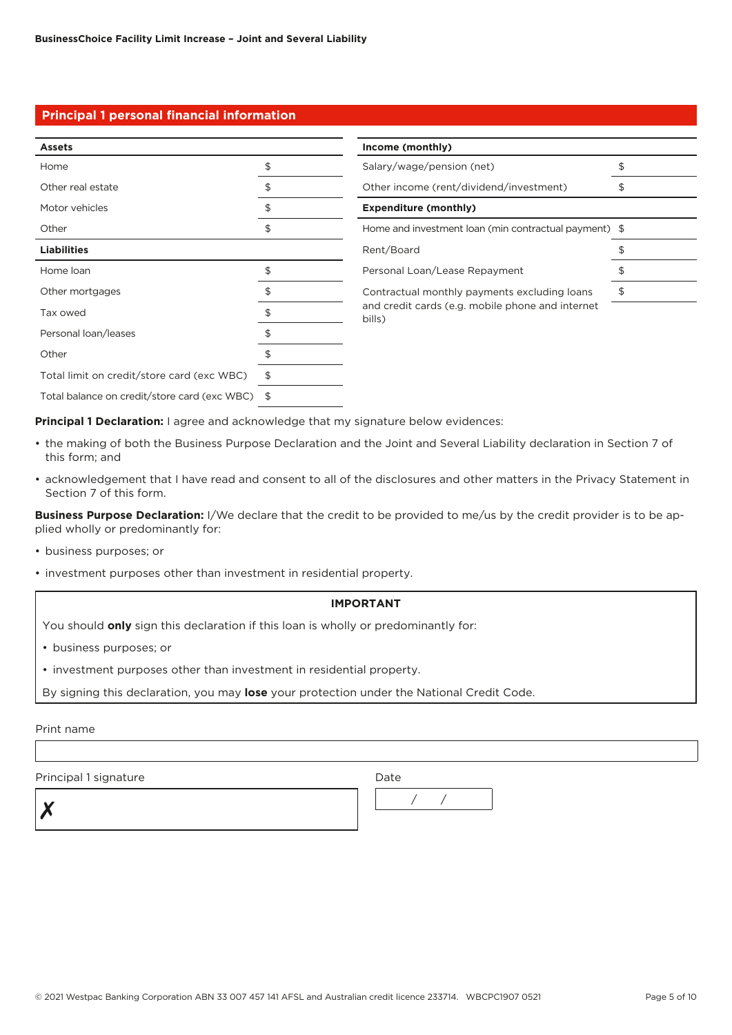# **Principal 1 personal financial information**

| <b>Assets</b>                                   | Income (monthly)                                                       |    |
|-------------------------------------------------|------------------------------------------------------------------------|----|
| Home                                            | \$<br>Salary/wage/pension (net)                                        | \$ |
| Other real estate                               | Other income (rent/dividend/investment)                                | \$ |
| Motor vehicles                                  | <b>Expenditure (monthly)</b>                                           |    |
| Other                                           | \$<br>Home and investment loan (min contractual payment) $\frac{1}{2}$ |    |
| <b>Liabilities</b>                              | Rent/Board                                                             |    |
| Home loan                                       | \$<br>Personal Loan/Lease Repayment                                    |    |
| Other mortgages                                 | \$<br>Contractual monthly payments excluding loans                     | \$ |
| Tax owed                                        | and credit cards (e.g. mobile phone and internet<br>bills)             |    |
| Personal loan/leases                            |                                                                        |    |
| Other                                           |                                                                        |    |
| Total limit on credit/store card (exc WBC)      | \$                                                                     |    |
| Total balance on credit/store card (exc WBC) \$ |                                                                        |    |

**Principal 1 Declaration:** I agree and acknowledge that my signature below evidences:

- the making of both the Business Purpose Declaration and the Joint and Several Liability declaration in Section 7 of this form; and
- acknowledgement that I have read and consent to all of the disclosures and other matters in the Privacy Statement in Section 7 of this form.

**Business Purpose Declaration:** I/We declare that the credit to be provided to me/us by the credit provider is to be applied wholly or predominantly for:

- business purposes; or
- investment purposes other than investment in residential property.

## **IMPORTANT**

You should **only** sign this declaration if this loan is wholly or predominantly for:

- business purposes; or
- investment purposes other than investment in residential property.

By signing this declaration, you may **lose** your protection under the National Credit Code.

Print name

Principal 1 signature Date

✗ / /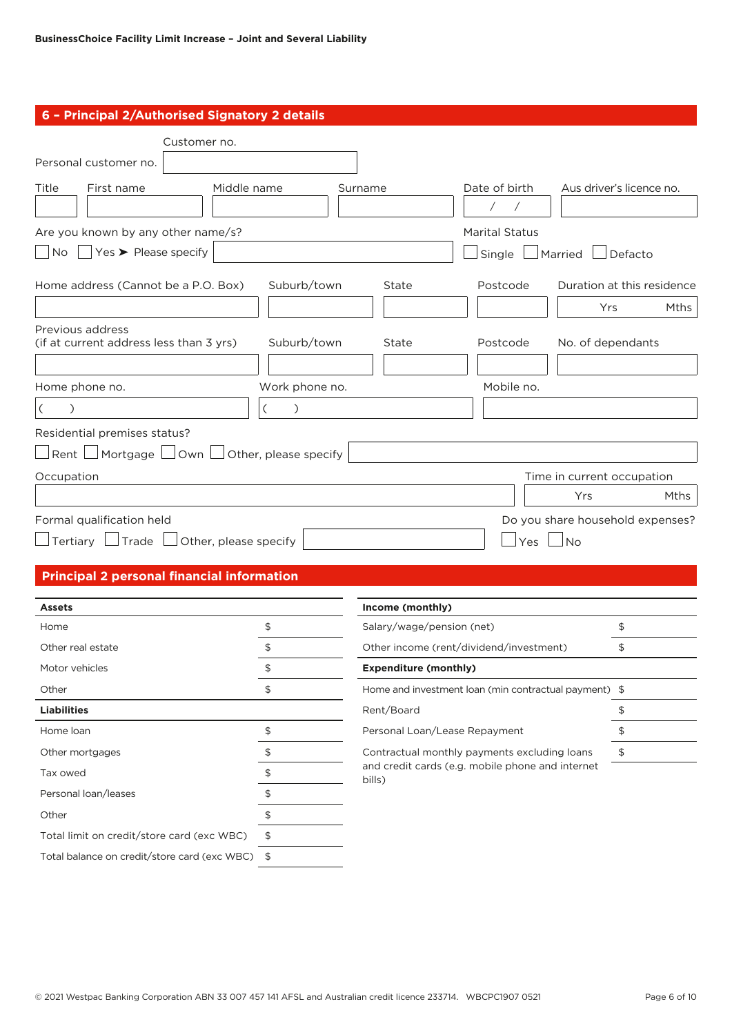# **6 – Principal 2/Authorised Signatory 2 details**

| Customer no.                                                  |                       |         |                       |                                  |
|---------------------------------------------------------------|-----------------------|---------|-----------------------|----------------------------------|
| Personal customer no.                                         |                       |         |                       |                                  |
| Title<br>Middle name<br>First name                            |                       | Surname | Date of birth         | Aus driver's licence no.         |
|                                                               |                       |         | $\sqrt{2}$            |                                  |
| Are you known by any other name/s?                            |                       |         | <b>Marital Status</b> |                                  |
| $\overline{N}$   $\overline{Y}$ $\overline{Y}$ Please specify |                       |         | Single                | Married<br>Defacto               |
| Home address (Cannot be a P.O. Box)                           | Suburb/town           | State   | Postcode              | Duration at this residence       |
|                                                               |                       |         |                       | Mths<br>Yrs                      |
| Previous address<br>(if at current address less than 3 yrs)   | Suburb/town           | State   | Postcode              | No. of dependants                |
| Home phone no.                                                | Work phone no.        |         | Mobile no.            |                                  |
| $\left($                                                      |                       |         |                       |                                  |
| Residential premises status?                                  |                       |         |                       |                                  |
| $\mid$ Rent $\mid \_$ Mortgage $\mid$<br>_l Own ↓             | Other, please specify |         |                       |                                  |
| Occupation                                                    |                       |         |                       | Time in current occupation       |
|                                                               |                       |         |                       | Mths<br>Yrs                      |
| Formal qualification held                                     |                       |         |                       | Do you share household expenses? |
| $\Box$ Tertiary $\Box$ Trade $\Box$ Other, please specify     |                       |         | Yes                   | <b>No</b>                        |
| <b>Principal 2 personal financial information</b>             |                       |         |                       |                                  |

| <b>Assets</b>                                |    | Income (monthly)                                                 |  |  |
|----------------------------------------------|----|------------------------------------------------------------------|--|--|
| Home                                         |    | Salary/wage/pension (net)                                        |  |  |
| Other real estate                            |    | Other income (rent/dividend/investment)                          |  |  |
| Motor vehicles                               |    | <b>Expenditure (monthly)</b>                                     |  |  |
| Other                                        |    | Home and investment loan (min contractual payment) $\frac{1}{2}$ |  |  |
| <b>Liabilities</b>                           |    | Rent/Board                                                       |  |  |
| Home loan                                    |    | Personal Loan/Lease Repayment                                    |  |  |
| Other mortgages                              |    | Contractual monthly payments excluding loans                     |  |  |
| Tax owed                                     |    | and credit cards (e.g. mobile phone and internet<br>bills)       |  |  |
| Personal loan/leases                         |    |                                                                  |  |  |
| Other                                        |    |                                                                  |  |  |
| Total limit on credit/store card (exc WBC)   |    |                                                                  |  |  |
| Total balance on credit/store card (exc WBC) | S. |                                                                  |  |  |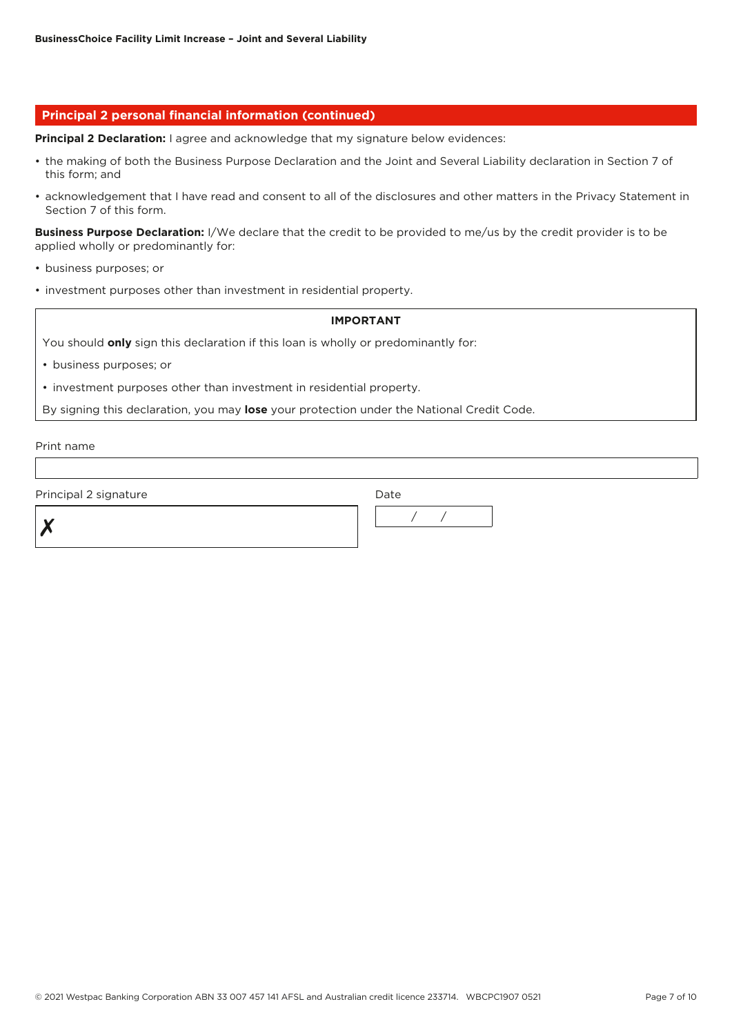## **Principal 2 personal financial information (continued)**

**Principal 2 Declaration:** I agree and acknowledge that my signature below evidences:

- the making of both the Business Purpose Declaration and the Joint and Several Liability declaration in Section 7 of this form; and
- acknowledgement that I have read and consent to all of the disclosures and other matters in the Privacy Statement in Section 7 of this form.

**Business Purpose Declaration:** I/We declare that the credit to be provided to me/us by the credit provider is to be applied wholly or predominantly for:

- business purposes; or
- investment purposes other than investment in residential property.

## **IMPORTANT**

You should **only** sign this declaration if this loan is wholly or predominantly for:

- business purposes; or
- investment purposes other than investment in residential property.

By signing this declaration, you may **lose** your protection under the National Credit Code.

Print name

Principal 2 signature Date Date



© 2021 Westpac Banking Corporation ABN 33 007 457 141 AFSL and Australian credit licence 233714. WBCPC1907 0521 Page 7 of 10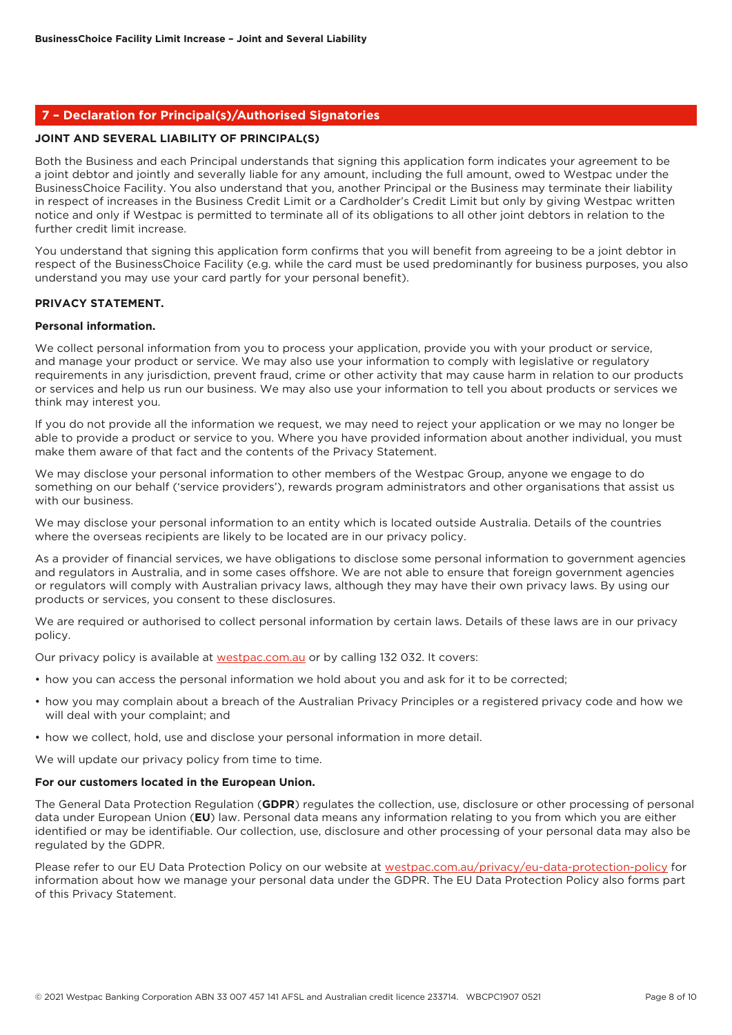## **7 – Declaration for Principal(s)/Authorised Signatories**

## **JOINT AND SEVERAL LIABILITY OF PRINCIPAL(S)**

Both the Business and each Principal understands that signing this application form indicates your agreement to be a joint debtor and jointly and severally liable for any amount, including the full amount, owed to Westpac under the BusinessChoice Facility. You also understand that you, another Principal or the Business may terminate their liability in respect of increases in the Business Credit Limit or a Cardholder's Credit Limit but only by giving Westpac written notice and only if Westpac is permitted to terminate all of its obligations to all other joint debtors in relation to the further credit limit increase.

You understand that signing this application form confirms that you will benefit from agreeing to be a joint debtor in respect of the BusinessChoice Facility (e.g. while the card must be used predominantly for business purposes, you also understand you may use your card partly for your personal benefit).

# **PRIVACY STATEMENT.**

#### **Personal information.**

We collect personal information from you to process your application, provide you with your product or service, and manage your product or service. We may also use your information to comply with legislative or regulatory requirements in any jurisdiction, prevent fraud, crime or other activity that may cause harm in relation to our products or services and help us run our business. We may also use your information to tell you about products or services we think may interest you.

If you do not provide all the information we request, we may need to reject your application or we may no longer be able to provide a product or service to you. Where you have provided information about another individual, you must make them aware of that fact and the contents of the Privacy Statement.

We may disclose your personal information to other members of the Westpac Group, anyone we engage to do something on our behalf ('service providers'), rewards program administrators and other organisations that assist us with our business.

We may disclose your personal information to an entity which is located outside Australia. Details of the countries where the overseas recipients are likely to be located are in our privacy policy.

As a provider of financial services, we have obligations to disclose some personal information to government agencies and regulators in Australia, and in some cases offshore. We are not able to ensure that foreign government agencies or regulators will comply with Australian privacy laws, although they may have their own privacy laws. By using our products or services, you consent to these disclosures.

We are required or authorised to collect personal information by certain laws. Details of these laws are in our privacy policy.

Our privacy policy is available at [westpac.com.au](http://westpac.com.au) or by calling 132 032. It covers:

- how you can access the personal information we hold about you and ask for it to be corrected;
- how you may complain about a breach of the Australian Privacy Principles or a registered privacy code and how we will deal with your complaint; and
- how we collect, hold, use and disclose your personal information in more detail.

We will update our privacy policy from time to time.

#### **For our customers located in the European Union.**

The General Data Protection Regulation (**GDPR**) regulates the collection, use, disclosure or other processing of personal data under European Union (**EU**) law. Personal data means any information relating to you from which you are either identified or may be identifiable. Our collection, use, disclosure and other processing of your personal data may also be regulated by the GDPR.

Please refer to our EU Data Protection Policy on our website at [westpac.com.au/privacy/eu-data-protection-policy](http://westpac.com.au/privacy/eu-data-protection-policy) for information about how we manage your personal data under the GDPR. The EU Data Protection Policy also forms part of this Privacy Statement.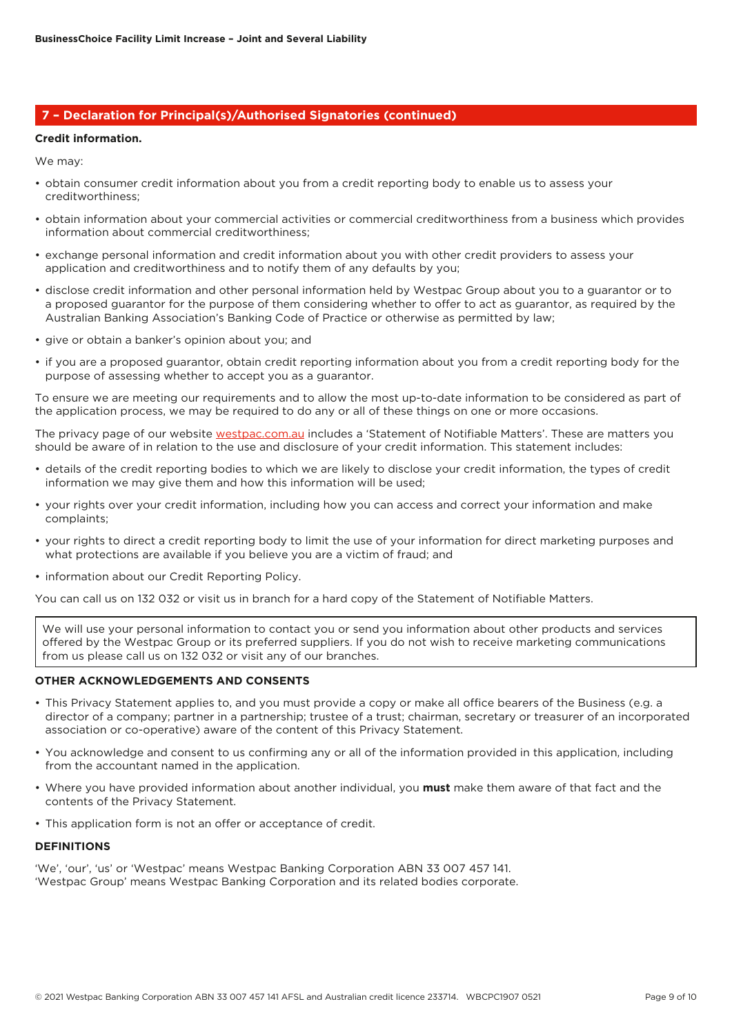## **7 – Declaration for Principal(s)/Authorised Signatories (continued)**

## **Credit information.**

We may:

- obtain consumer credit information about you from a credit reporting body to enable us to assess your creditworthiness;
- obtain information about your commercial activities or commercial creditworthiness from a business which provides information about commercial creditworthiness;
- exchange personal information and credit information about you with other credit providers to assess your application and creditworthiness and to notify them of any defaults by you;
- disclose credit information and other personal information held by Westpac Group about you to a guarantor or to a proposed guarantor for the purpose of them considering whether to offer to act as guarantor, as required by the Australian Banking Association's Banking Code of Practice or otherwise as permitted by law;
- give or obtain a banker's opinion about you; and
- if you are a proposed guarantor, obtain credit reporting information about you from a credit reporting body for the purpose of assessing whether to accept you as a guarantor.

To ensure we are meeting our requirements and to allow the most up-to-date information to be considered as part of the application process, we may be required to do any or all of these things on one or more occasions.

The privacy page of our website [westpac.com.au](http://westpac.com.au) includes a 'Statement of Notifiable Matters'. These are matters you should be aware of in relation to the use and disclosure of your credit information. This statement includes:

- details of the credit reporting bodies to which we are likely to disclose your credit information, the types of credit information we may give them and how this information will be used;
- your rights over your credit information, including how you can access and correct your information and make complaints;
- your rights to direct a credit reporting body to limit the use of your information for direct marketing purposes and what protections are available if you believe you are a victim of fraud; and
- information about our Credit Reporting Policy.

You can call us on 132 032 or visit us in branch for a hard copy of the Statement of Notifiable Matters.

We will use your personal information to contact you or send you information about other products and services offered by the Westpac Group or its preferred suppliers. If you do not wish to receive marketing communications from us please call us on 132 032 or visit any of our branches.

## **OTHER ACKNOWLEDGEMENTS AND CONSENTS**

- This Privacy Statement applies to, and you must provide a copy or make all office bearers of the Business (e.g. a director of a company; partner in a partnership; trustee of a trust; chairman, secretary or treasurer of an incorporated association or co-operative) aware of the content of this Privacy Statement.
- You acknowledge and consent to us confirming any or all of the information provided in this application, including from the accountant named in the application.
- Where you have provided information about another individual, you **must** make them aware of that fact and the contents of the Privacy Statement.
- This application form is not an offer or acceptance of credit.

#### **DEFINITIONS**

'We', 'our', 'us' or 'Westpac' means Westpac Banking Corporation ABN 33 007 457 141. 'Westpac Group' means Westpac Banking Corporation and its related bodies corporate.